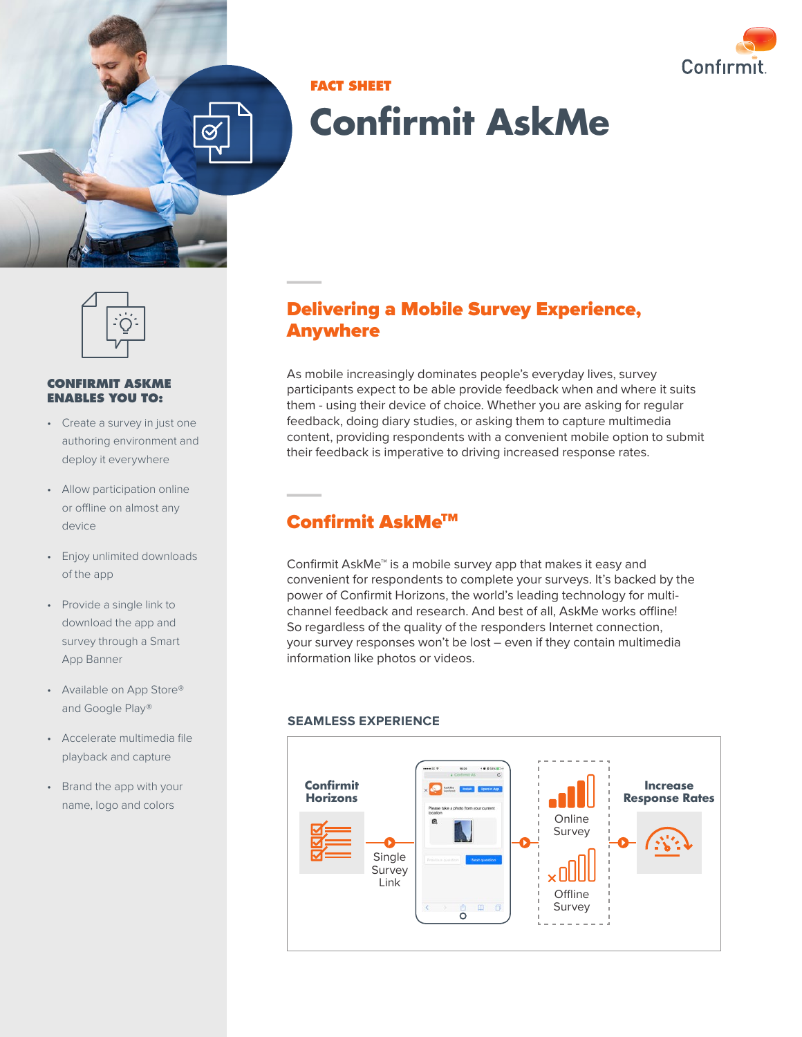

**FACT SHEET**

# **Confirmit AskMe**



#### **CONFIRMIT ASKME ENABLES YOU TO:**

- Create a survey in just one authoring environment and deploy it everywhere
- Allow participation online or offline on almost any device
- Enjoy unlimited downloads of the app
- Provide a single link to download the app and survey through a Smart App Banner
- Available on App Store® and Google Play®
- Accelerate multimedia file playback and capture
- Brand the app with your name, logo and colors

## **–** Delivering a Mobile Survey Experience, Anywhere

As mobile increasingly dominates people's everyday lives, survey participants expect to be able provide feedback when and where it suits them - using their device of choice. Whether you are asking for regular feedback, doing diary studies, or asking them to capture multimedia content, providing respondents with a convenient mobile option to submit their feedback is imperative to driving increased response rates. **–**

### Confirmit AskMeTM

Confirmit AskMe™ is a mobile survey app that makes it easy and convenient for respondents to complete your surveys. It's backed by the power of Confirmit Horizons, the world's leading technology for multichannel feedback and research. And best of all, AskMe works offline! So regardless of the quality of the responders Internet connection, your survey responses won't be lost – even if they contain multimedia information like photos or videos.

#### **SEAMLESS EXPERIENCE**

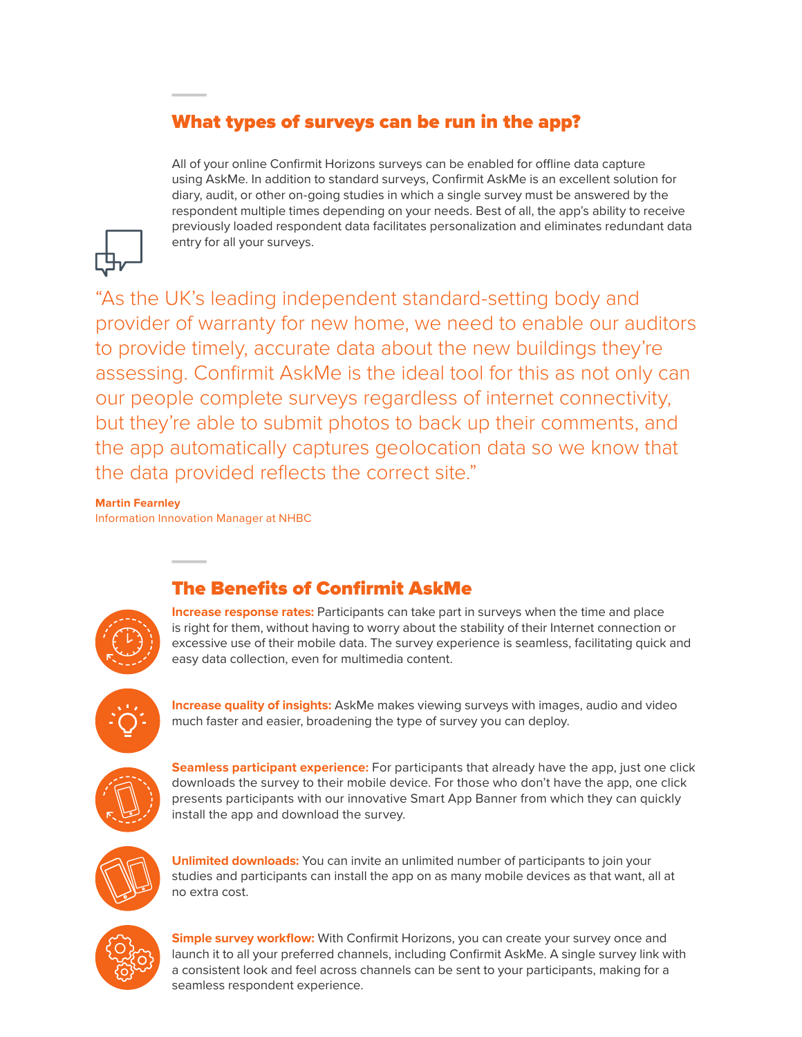# **–** What types of surveys can be run in the app?

All of your online Confirmit Horizons surveys can be enabled for offline data capture using AskMe. In addition to standard surveys, Confirmit AskMe is an excellent solution for diary, audit, or other on-going studies in which a single survey must be answered by the respondent multiple times depending on your needs. Best of all, the app's ability to receive previously loaded respondent data facilitates personalization and eliminates redundant data entry for all your surveys.



"As the UK's leading independent standard-setting body and provider of warranty for new home, we need to enable our auditors to provide timely, accurate data about the new buildings they're assessing. Confirmit AskMe is the ideal tool for this as not only can our people complete surveys regardless of internet connectivity, but they're able to submit photos to back up their comments, and the app automatically captures geolocation data so we know that the data provided reflects the correct site."

#### **Martin Fearnley**

**–** Information Innovation Manager at NHBC



The Benefits of Confirmit AskMe

**Increase response rates:** Participants can take part in surveys when the time and place is right for them, without having to worry about the stability of their Internet connection or excessive use of their mobile data. The survey experience is seamless, facilitating quick and easy data collection, even for multimedia content.



**Increase quality of insights:** AskMe makes viewing surveys with images, audio and video much faster and easier, broadening the type of survey you can deploy.



**Seamless participant experience:** For participants that already have the app, just one click downloads the survey to their mobile device. For those who don't have the app, one click presents participants with our innovative Smart App Banner from which they can quickly install the app and download the survey.



**Unlimited downloads:** You can invite an unlimited number of participants to join your studies and participants can install the app on as many mobile devices as that want, all at no extra cost.



**Simple survey workflow:** With Confirmit Horizons, you can create your survey once and launch it to all your preferred channels, including Confirmit AskMe. A single survey link with a consistent look and feel across channels can be sent to your participants, making for a seamless respondent experience.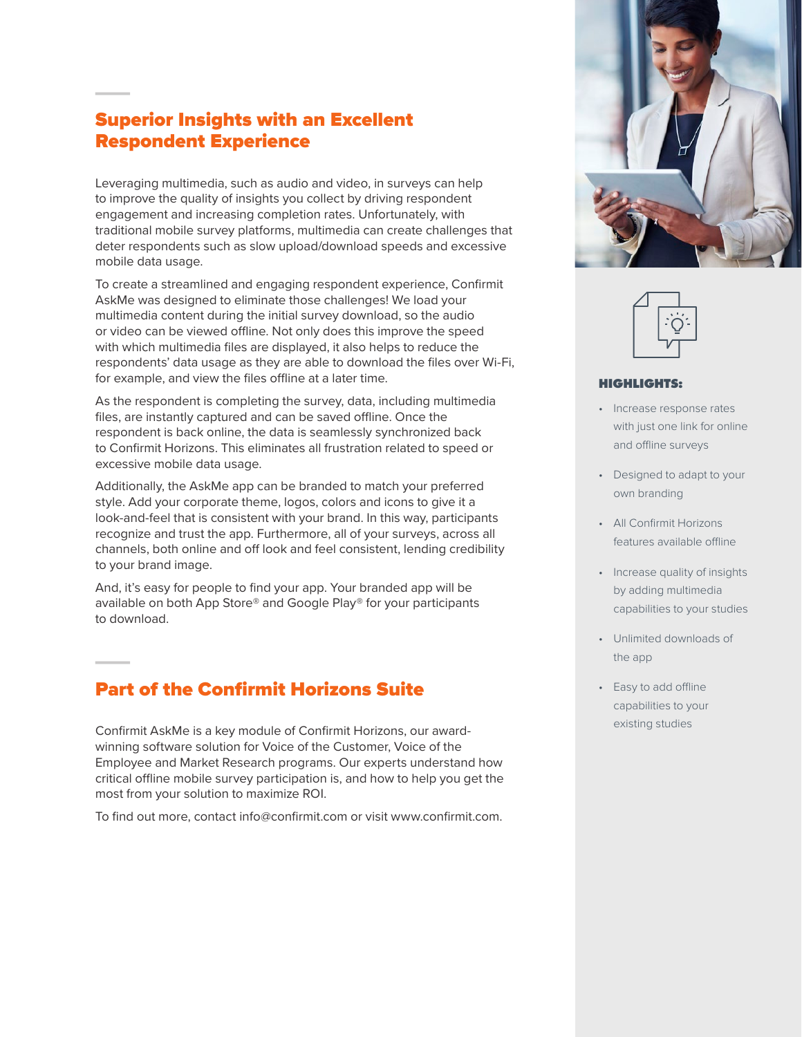## **–** Superior Insights with an Excellent Respondent Experience

Leveraging multimedia, such as audio and video, in surveys can help to improve the quality of insights you collect by driving respondent engagement and increasing completion rates. Unfortunately, with traditional mobile survey platforms, multimedia can create challenges that deter respondents such as slow upload/download speeds and excessive mobile data usage.

To create a streamlined and engaging respondent experience, Confirmit AskMe was designed to eliminate those challenges! We load your multimedia content during the initial survey download, so the audio or video can be viewed offline. Not only does this improve the speed with which multimedia files are displayed, it also helps to reduce the respondents' data usage as they are able to download the files over Wi-Fi, for example, and view the files offline at a later time.

As the respondent is completing the survey, data, including multimedia files, are instantly captured and can be saved offline. Once the respondent is back online, the data is seamlessly synchronized back to Confirmit Horizons. This eliminates all frustration related to speed or excessive mobile data usage.

Additionally, the AskMe app can be branded to match your preferred style. Add your corporate theme, logos, colors and icons to give it a look-and-feel that is consistent with your brand. In this way, participants recognize and trust the app. Furthermore, all of your surveys, across all channels, both online and off look and feel consistent, lending credibility to your brand image.

And, it's easy for people to find your app. Your branded app will be available on both App Store® and Google Play® for your participants to download. **–**

### Part of the Confirmit Horizons Suite

Confirmit AskMe is a key module of Confirmit Horizons, our awardwinning software solution for Voice of the Customer, Voice of the Employee and Market Research programs. Our experts understand how critical offline mobile survey participation is, and how to help you get the most from your solution to maximize ROI.

To find out more, contact info@confirmit.com or visit www.confirmit.com.





#### **HIGHLIGHTS:**

- Increase response rates with just one link for online and offline surveys
- Designed to adapt to your own branding
- All Confirmit Horizons features available offline
- Increase quality of insights by adding multimedia capabilities to your studies
- Unlimited downloads of the app
- Easy to add offline capabilities to your existing studies